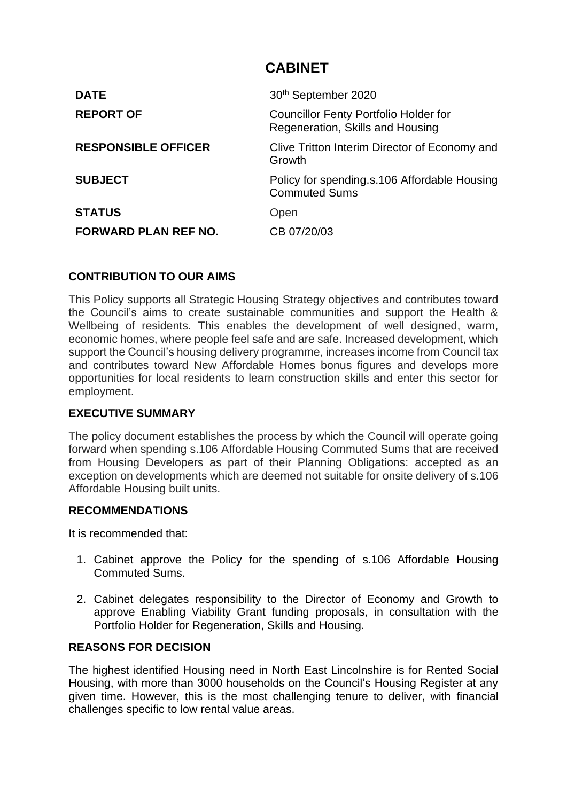# **CABINET**

| <b>DATE</b>                 | 30 <sup>th</sup> September 2020                                                  |
|-----------------------------|----------------------------------------------------------------------------------|
| <b>REPORT OF</b>            | <b>Councillor Fenty Portfolio Holder for</b><br>Regeneration, Skills and Housing |
| <b>RESPONSIBLE OFFICER</b>  | Clive Tritton Interim Director of Economy and<br>Growth                          |
| <b>SUBJECT</b>              | Policy for spending s.106 Affordable Housing<br><b>Commuted Sums</b>             |
| <b>STATUS</b>               | Open                                                                             |
| <b>FORWARD PLAN REF NO.</b> | CB 07/20/03                                                                      |

## **CONTRIBUTION TO OUR AIMS**

This Policy supports all Strategic Housing Strategy objectives and contributes toward the Council's aims to create sustainable communities and support the Health & Wellbeing of residents. This enables the development of well designed, warm, economic homes, where people feel safe and are safe. Increased development, which support the Council's housing delivery programme, increases income from Council tax and contributes toward New Affordable Homes bonus figures and develops more opportunities for local residents to learn construction skills and enter this sector for employment.

## **EXECUTIVE SUMMARY**

The policy document establishes the process by which the Council will operate going forward when spending s.106 Affordable Housing Commuted Sums that are received from Housing Developers as part of their Planning Obligations: accepted as an exception on developments which are deemed not suitable for onsite delivery of s.106 Affordable Housing built units.

#### **RECOMMENDATIONS**

It is recommended that:

- 1. Cabinet approve the Policy for the spending of s.106 Affordable Housing Commuted Sums.
- 2. Cabinet delegates responsibility to the Director of Economy and Growth to approve Enabling Viability Grant funding proposals, in consultation with the Portfolio Holder for Regeneration, Skills and Housing.

#### **REASONS FOR DECISION**

The highest identified Housing need in North East Lincolnshire is for Rented Social Housing, with more than 3000 households on the Council's Housing Register at any given time. However, this is the most challenging tenure to deliver, with financial challenges specific to low rental value areas.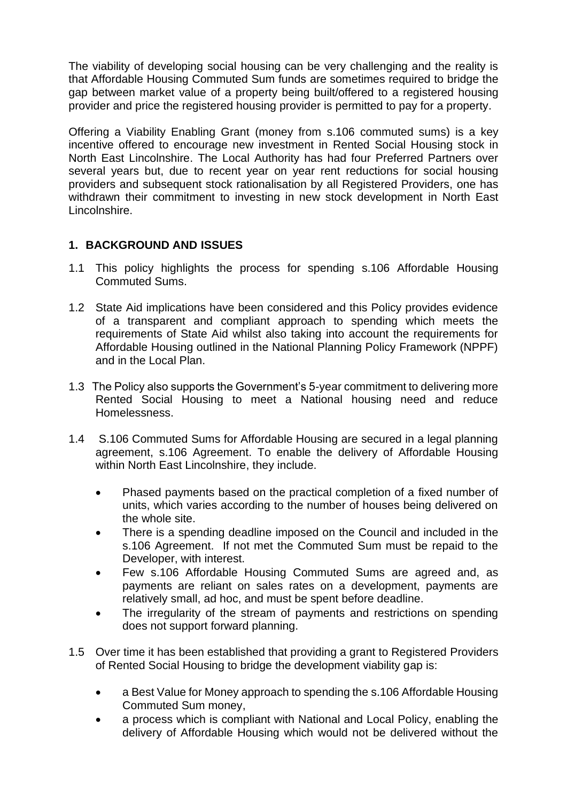The viability of developing social housing can be very challenging and the reality is that Affordable Housing Commuted Sum funds are sometimes required to bridge the gap between market value of a property being built/offered to a registered housing provider and price the registered housing provider is permitted to pay for a property.

Offering a Viability Enabling Grant (money from s.106 commuted sums) is a key incentive offered to encourage new investment in Rented Social Housing stock in North East Lincolnshire. The Local Authority has had four Preferred Partners over several years but, due to recent year on year rent reductions for social housing providers and subsequent stock rationalisation by all Registered Providers, one has withdrawn their commitment to investing in new stock development in North East Lincolnshire.

# **1. BACKGROUND AND ISSUES**

- 1.1 This policy highlights the process for spending s.106 Affordable Housing Commuted Sums.
- 1.2 State Aid implications have been considered and this Policy provides evidence of a transparent and compliant approach to spending which meets the requirements of State Aid whilst also taking into account the requirements for Affordable Housing outlined in the National Planning Policy Framework (NPPF) and in the Local Plan.
- 1.3 The Policy also supports the Government's 5-year commitment to delivering more Rented Social Housing to meet a National housing need and reduce Homelessness.
- 1.4 S.106 Commuted Sums for Affordable Housing are secured in a legal planning agreement, s.106 Agreement. To enable the delivery of Affordable Housing within North East Lincolnshire, they include.
	- Phased payments based on the practical completion of a fixed number of units, which varies according to the number of houses being delivered on the whole site.
	- There is a spending deadline imposed on the Council and included in the s.106 Agreement. If not met the Commuted Sum must be repaid to the Developer, with interest.
	- Few s.106 Affordable Housing Commuted Sums are agreed and, as payments are reliant on sales rates on a development, payments are relatively small, ad hoc, and must be spent before deadline.
	- The irregularity of the stream of payments and restrictions on spending does not support forward planning.
- 1.5 Over time it has been established that providing a grant to Registered Providers of Rented Social Housing to bridge the development viability gap is:
	- a Best Value for Money approach to spending the s.106 Affordable Housing Commuted Sum money,
	- a process which is compliant with National and Local Policy, enabling the delivery of Affordable Housing which would not be delivered without the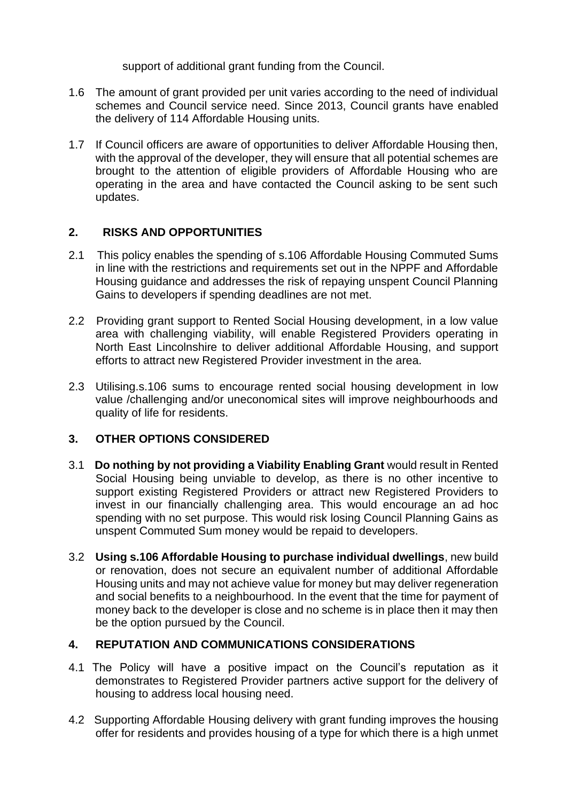support of additional grant funding from the Council.

- 1.6 The amount of grant provided per unit varies according to the need of individual schemes and Council service need. Since 2013, Council grants have enabled the delivery of 114 Affordable Housing units.
- 1.7 If Council officers are aware of opportunities to deliver Affordable Housing then, with the approval of the developer, they will ensure that all potential schemes are brought to the attention of eligible providers of Affordable Housing who are operating in the area and have contacted the Council asking to be sent such updates.

## **2. RISKS AND OPPORTUNITIES**

- 2.1 This policy enables the spending of s.106 Affordable Housing Commuted Sums in line with the restrictions and requirements set out in the NPPF and Affordable Housing guidance and addresses the risk of repaying unspent Council Planning Gains to developers if spending deadlines are not met.
- 2.2 Providing grant support to Rented Social Housing development, in a low value area with challenging viability, will enable Registered Providers operating in North East Lincolnshire to deliver additional Affordable Housing, and support efforts to attract new Registered Provider investment in the area.
- 2.3 Utilising.s.106 sums to encourage rented social housing development in low value /challenging and/or uneconomical sites will improve neighbourhoods and quality of life for residents.

# **3. OTHER OPTIONS CONSIDERED**

- 3.1 **Do nothing by not providing a Viability Enabling Grant** would result in Rented Social Housing being unviable to develop, as there is no other incentive to support existing Registered Providers or attract new Registered Providers to invest in our financially challenging area. This would encourage an ad hoc spending with no set purpose. This would risk losing Council Planning Gains as unspent Commuted Sum money would be repaid to developers.
- 3.2 **Using s.106 Affordable Housing to purchase individual dwellings**, new build or renovation, does not secure an equivalent number of additional Affordable Housing units and may not achieve value for money but may deliver regeneration and social benefits to a neighbourhood. In the event that the time for payment of money back to the developer is close and no scheme is in place then it may then be the option pursued by the Council.

#### **4. REPUTATION AND COMMUNICATIONS CONSIDERATIONS**

- 4.1 The Policy will have a positive impact on the Council's reputation as it demonstrates to Registered Provider partners active support for the delivery of housing to address local housing need.
- 4.2 Supporting Affordable Housing delivery with grant funding improves the housing offer for residents and provides housing of a type for which there is a high unmet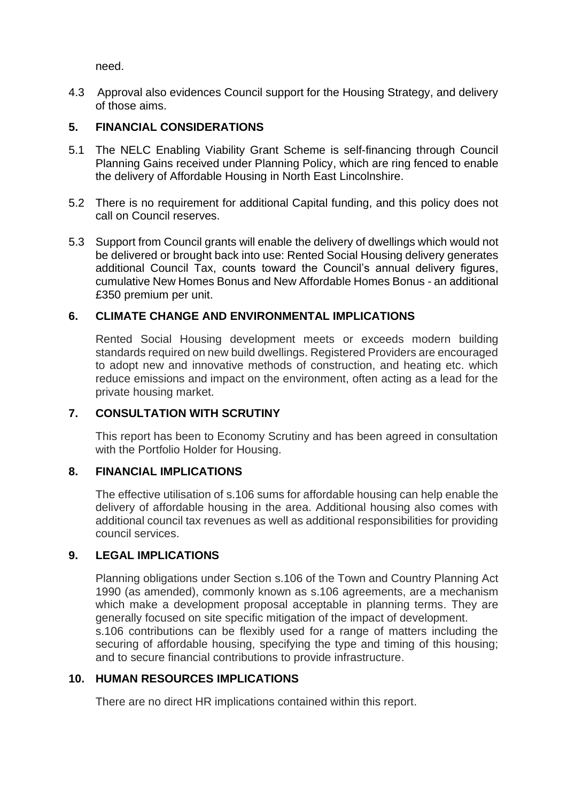need.

4.3 Approval also evidences Council support for the Housing Strategy, and delivery of those aims.

## **5. FINANCIAL CONSIDERATIONS**

- 5.1 The NELC Enabling Viability Grant Scheme is self-financing through Council Planning Gains received under Planning Policy, which are ring fenced to enable the delivery of Affordable Housing in North East Lincolnshire.
- 5.2 There is no requirement for additional Capital funding, and this policy does not call on Council reserves.
- 5.3 Support from Council grants will enable the delivery of dwellings which would not be delivered or brought back into use: Rented Social Housing delivery generates additional Council Tax, counts toward the Council's annual delivery figures, cumulative New Homes Bonus and New Affordable Homes Bonus - an additional £350 premium per unit.

#### **6. CLIMATE CHANGE AND ENVIRONMENTAL IMPLICATIONS**

Rented Social Housing development meets or exceeds modern building standards required on new build dwellings. Registered Providers are encouraged to adopt new and innovative methods of construction, and heating etc. which reduce emissions and impact on the environment, often acting as a lead for the private housing market.

### **7. CONSULTATION WITH SCRUTINY**

This report has been to Economy Scrutiny and has been agreed in consultation with the Portfolio Holder for Housing.

#### **8. FINANCIAL IMPLICATIONS**

The effective utilisation of s.106 sums for affordable housing can help enable the delivery of affordable housing in the area. Additional housing also comes with additional council tax revenues as well as additional responsibilities for providing council services.

#### **9. LEGAL IMPLICATIONS**

Planning obligations under Section s.106 of the Town and Country Planning Act 1990 (as amended), commonly known as s.106 agreements, are a mechanism which make a development proposal acceptable in planning terms. They are generally focused on site specific mitigation of the impact of development.

s.106 contributions can be flexibly used for a range of matters including the securing of affordable housing, specifying the type and timing of this housing; and to secure financial contributions to provide infrastructure.

#### **10. HUMAN RESOURCES IMPLICATIONS**

There are no direct HR implications contained within this report.